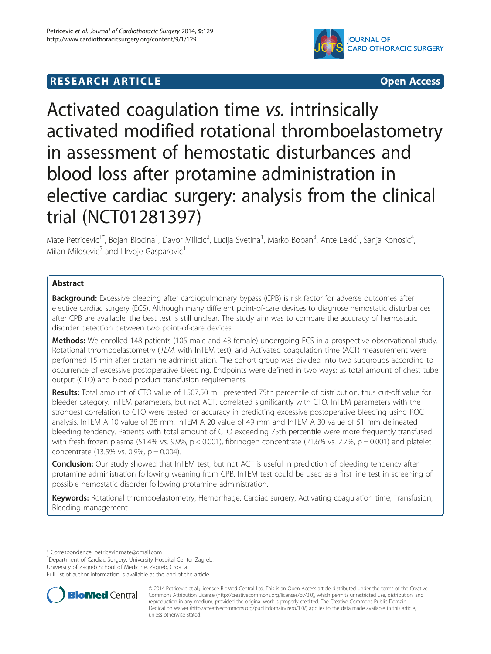

# **RESEARCH ARTICLE CONSUMING A RESEARCH ARTICLE**



Activated coagulation time vs. intrinsically activated modified rotational thromboelastometry in assessment of hemostatic disturbances and blood loss after protamine administration in elective cardiac surgery: analysis from the clinical trial (NCT01281397)

Mate Petricevic<sup>1\*</sup>, Bojan Biocina<sup>1</sup>, Davor Milicic<sup>2</sup>, Lucija Svetina<sup>1</sup>, Marko Boban<sup>3</sup>, Ante Lekić<sup>1</sup>, Sanja Konosic<sup>4</sup> , Milan Milosevic $5$  and Hrvoje Gasparovic<sup>1</sup>

# Abstract

**Background:** Excessive bleeding after cardiopulmonary bypass (CPB) is risk factor for adverse outcomes after elective cardiac surgery (ECS). Although many different point-of-care devices to diagnose hemostatic disturbances after CPB are available, the best test is still unclear. The study aim was to compare the accuracy of hemostatic disorder detection between two point-of-care devices.

Methods: We enrolled 148 patients (105 male and 43 female) undergoing ECS in a prospective observational study. Rotational thromboelastometry (TEM, with InTEM test), and Activated coagulation time (ACT) measurement were performed 15 min after protamine administration. The cohort group was divided into two subgroups according to occurrence of excessive postoperative bleeding. Endpoints were defined in two ways: as total amount of chest tube output (CTO) and blood product transfusion requirements.

Results: Total amount of CTO value of 1507,50 mL presented 75th percentile of distribution, thus cut-off value for bleeder category. InTEM parameters, but not ACT, correlated significantly with CTO. InTEM parameters with the strongest correlation to CTO were tested for accuracy in predicting excessive postoperative bleeding using ROC analysis. InTEM A 10 value of 38 mm, InTEM A 20 value of 49 mm and InTEM A 30 value of 51 mm delineated bleeding tendency. Patients with total amount of CTO exceeding 75th percentile were more frequently transfused with fresh frozen plasma (51.4% vs. 9.9%,  $p < 0.001$ ), fibrinogen concentrate (21.6% vs. 2.7%,  $p = 0.001$ ) and platelet concentrate (13.5% vs. 0.9%,  $p = 0.004$ ).

**Conclusion:** Our study showed that InTEM test, but not ACT is useful in prediction of bleeding tendency after protamine administration following weaning from CPB. InTEM test could be used as a first line test in screening of possible hemostatic disorder following protamine administration.

Keywords: Rotational thromboelastometry, Hemorrhage, Cardiac surgery, Activating coagulation time, Transfusion, Bleeding management

\* Correspondence: [petricevic.mate@gmail.com](mailto:petricevic.mate@gmail.com) <sup>1</sup>

<sup>1</sup>Department of Cardiac Surgery, University Hospital Center Zagreb,

University of Zagreb School of Medicine, Zagreb, Croatia

Full list of author information is available at the end of the article



© 2014 Petricevic et al.; licensee BioMed Central Ltd. This is an Open Access article distributed under the terms of the Creative Commons Attribution License [\(http://creativecommons.org/licenses/by/2.0\)](http://creativecommons.org/licenses/by/2.0), which permits unrestricted use, distribution, and reproduction in any medium, provided the original work is properly credited. The Creative Commons Public Domain Dedication waiver [\(http://creativecommons.org/publicdomain/zero/1.0/](http://creativecommons.org/publicdomain/zero/1.0/)) applies to the data made available in this article, unless otherwise stated.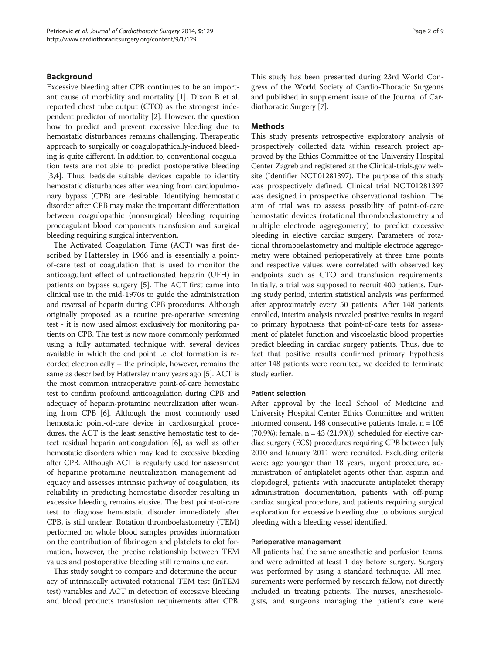# <span id="page-1-0"></span>Background

Excessive bleeding after CPB continues to be an important cause of morbidity and mortality [[1\]](#page-7-0). Dixon B et al. reported chest tube output (CTO) as the strongest independent predictor of mortality [\[2](#page-7-0)]. However, the question how to predict and prevent excessive bleeding due to hemostatic disturbances remains challenging. Therapeutic approach to surgically or coagulopathically-induced bleeding is quite different. In addition to, conventional coagulation tests are not able to predict postoperative bleeding [[3,4](#page-7-0)]. Thus, bedside suitable devices capable to identify hemostatic disturbances after weaning from cardiopulmonary bypass (CPB) are desirable. Identifying hemostatic disorder after CPB may make the important differentiation between coagulopathic (nonsurgical) bleeding requiring procoagulant blood components transfusion and surgical bleeding requiring surgical intervention.

The Activated Coagulation Time (ACT) was first described by Hattersley in 1966 and is essentially a pointof-care test of coagulation that is used to monitor the anticoagulant effect of unfractionated heparin (UFH) in patients on bypass surgery [\[5](#page-7-0)]. The ACT first came into clinical use in the mid-1970s to guide the administration and reversal of heparin during CPB procedures. Although originally proposed as a routine pre-operative screening test - it is now used almost exclusively for monitoring patients on CPB. The test is now more commonly performed using a fully automated technique with several devices available in which the end point i.e. clot formation is recorded electronically – the principle, however, remains the same as described by Hattersley many years ago [[5](#page-7-0)]. ACT is the most common intraoperative point-of-care hemostatic test to confirm profound anticoagulation during CPB and adequacy of heparin-protamine neutralization after weaning from CPB [\[6\]](#page-7-0). Although the most commonly used hemostatic point-of-care device in cardiosurgical procedures, the ACT is the least sensitive hemostatic test to detect residual heparin anticoagulation [\[6](#page-7-0)], as well as other hemostatic disorders which may lead to excessive bleeding after CPB. Although ACT is regularly used for assessment of heparine-protamine neutralization management adequacy and assesses intrinsic pathway of coagulation, its reliability in predicting hemostatic disorder resulting in excessive bleeding remains elusive. The best point-of-care test to diagnose hemostatic disorder immediately after CPB, is still unclear. Rotation thromboelastometry (TEM) performed on whole blood samples provides information on the contribution of fibrinogen and platelets to clot formation, however, the precise relationship between TEM values and postoperative bleeding still remains unclear.

This study sought to compare and determine the accuracy of intrinsically activated rotational TEM test (InTEM test) variables and ACT in detection of excessive bleeding and blood products transfusion requirements after CPB. This study has been presented during 23rd World Congress of the World Society of Cardio-Thoracic Surgeons and published in supplement issue of the Journal of Cardiothoracic Surgery [[7](#page-7-0)].

# Methods

This study presents retrospective exploratory analysis of prospectively collected data within research project approved by the Ethics Committee of the University Hospital Center Zagreb and registered at the Clinical-trials.gov website (Identifier NCT01281397). The purpose of this study was prospectively defined. Clinical trial NCT01281397 was designed in prospective observational fashion. The aim of trial was to assess possibility of point-of-care hemostatic devices (rotational thromboelastometry and multiple electrode aggregometry) to predict excessive bleeding in elective cardiac surgery. Parameters of rotational thromboelastometry and multiple electrode aggregometry were obtained perioperatively at three time points and respective values were correlated with observed key endpoints such as CTO and transfusion requirements. Initially, a trial was supposed to recruit 400 patients. During study period, interim statistical analysis was performed after approximately every 50 patients. After 148 patients enrolled, interim analysis revealed positive results in regard to primary hypothesis that point-of-care tests for assessment of platelet function and viscoelastic blood properties predict bleeding in cardiac surgery patients. Thus, due to fact that positive results confirmed primary hypothesis after 148 patients were recruited, we decided to terminate study earlier.

### Patient selection

After approval by the local School of Medicine and University Hospital Center Ethics Committee and written informed consent,  $148$  consecutive patients (male,  $n = 105$  $(70.9\%)$ ; female, n = 43  $(21.9\%)$ , scheduled for elective cardiac surgery (ECS) procedures requiring CPB between July 2010 and January 2011 were recruited. Excluding criteria were: age younger than 18 years, urgent procedure, administration of antiplatelet agents other than aspirin and clopidogrel, patients with inaccurate antiplatelet therapy administration documentation, patients with off-pump cardiac surgical procedure, and patients requiring surgical exploration for excessive bleeding due to obvious surgical bleeding with a bleeding vessel identified.

# Perioperative management

All patients had the same anesthetic and perfusion teams, and were admitted at least 1 day before surgery. Surgery was performed by using a standard technique. All measurements were performed by research fellow, not directly included in treating patients. The nurses, anesthesiologists, and surgeons managing the patient's care were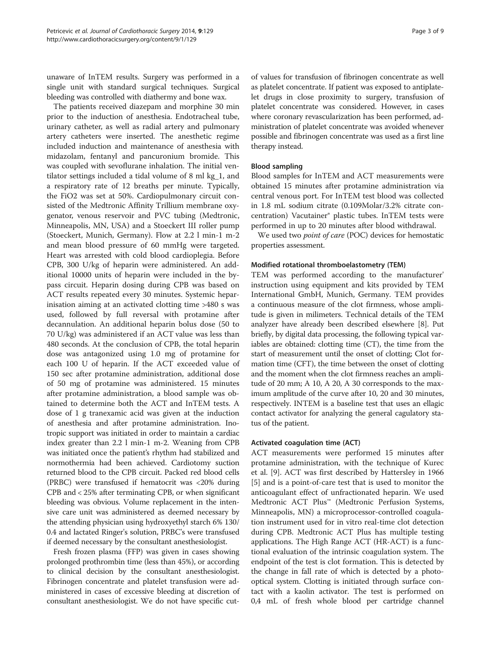unaware of InTEM results. Surgery was performed in a single unit with standard surgical techniques. Surgical bleeding was controlled with diathermy and bone wax.

The patients received diazepam and morphine 30 min prior to the induction of anesthesia. Endotracheal tube, urinary catheter, as well as radial artery and pulmonary artery catheters were inserted. The anesthetic regime included induction and maintenance of anesthesia with midazolam, fentanyl and pancuronium bromide. This was coupled with sevoflurane inhalation. The initial ventilator settings included a tidal volume of 8 ml kg\_1, and a respiratory rate of 12 breaths per minute. Typically, the FiO2 was set at 50%. Cardiopulmonary circuit consisted of the Medtronic Affinity Trillium membrane oxygenator, venous reservoir and PVC tubing (Medtronic, Minneapolis, MN, USA) and a Stoeckert III roller pump (Stoeckert, Munich, Germany). Flow at 2.2 l min-1 m-2 and mean blood pressure of 60 mmHg were targeted. Heart was arrested with cold blood cardioplegia. Before CPB, 300 U/kg of heparin were administered. An additional 10000 units of heparin were included in the bypass circuit. Heparin dosing during CPB was based on ACT results repeated every 30 minutes. Systemic heparinisation aiming at an activated clotting time >480 s was used, followed by full reversal with protamine after decannulation. An additional heparin bolus dose (50 to 70 U/kg) was administered if an ACT value was less than 480 seconds. At the conclusion of CPB, the total heparin dose was antagonized using 1.0 mg of protamine for each 100 U of heparin. If the ACT exceeded value of 150 sec after protamine administration, additional dose of 50 mg of protamine was administered. 15 minutes after protamine administration, a blood sample was obtained to determine both the ACT and InTEM tests. A dose of 1 g tranexamic acid was given at the induction of anesthesia and after protamine administration. Inotropic support was initiated in order to maintain a cardiac index greater than 2.2 l min-1 m-2. Weaning from CPB was initiated once the patient's rhythm had stabilized and normothermia had been achieved. Cardiotomy suction returned blood to the CPB circuit. Packed red blood cells (PRBC) were transfused if hematocrit was <20% during CPB and < 25% after terminating CPB, or when significant bleeding was obvious. Volume replacement in the intensive care unit was administered as deemed necessary by the attending physician using hydroxyethyl starch 6% 130/ 0.4 and lactated Ringer's solution, PRBC's were transfused if deemed necessary by the consultant anesthesiologist.

Fresh frozen plasma (FFP) was given in cases showing prolonged prothrombin time (less than 45%), or according to clinical decision by the consultant anesthesiologist. Fibrinogen concentrate and platelet transfusion were administered in cases of excessive bleeding at discretion of consultant anesthesiologist. We do not have specific cut-

of values for transfusion of fibrinogen concentrate as well as platelet concentrate. If patient was exposed to antiplatelet drugs in close proximity to surgery, transfusion of platelet concentrate was considered. However, in cases where coronary revascularization has been performed, administration of platelet concentrate was avoided whenever possible and fibrinogen concentrate was used as a first line therapy instead.

# Blood sampling

Blood samples for InTEM and ACT measurements were obtained 15 minutes after protamine administration via central venous port. For InTEM test blood was collected in 1.8 mL sodium citrate (0.109Molar/3.2% citrate concentration) Vacutainer® plastic tubes. InTEM tests were performed in up to 20 minutes after blood withdrawal.

We used two *point of care* (POC) devices for hemostatic properties assessment.

# Modified rotational thromboelastometry (TEM)

TEM was performed according to the manufacturer' instruction using equipment and kits provided by TEM International GmbH, Munich, Germany. TEM provides a continuous measure of the clot firmness, whose amplitude is given in milimeters. Technical details of the TEM analyzer have already been described elsewhere [\[8](#page-7-0)]. Put briefly, by digital data processing, the following typical variables are obtained: clotting time (CT), the time from the start of measurement until the onset of clotting; Clot formation time (CFT), the time between the onset of clotting and the moment when the clot firmness reaches an amplitude of 20 mm; A 10, A 20, A 30 corresponds to the maximum amplitude of the curve after 10, 20 and 30 minutes, respectively. INTEM is a baseline test that uses an ellagic contact activator for analyzing the general cagulatory status of the patient.

# Activated coagulation time (ACT)

ACT measurements were performed 15 minutes after protamine administration, with the technique of Kurec et al. [[9](#page-7-0)]. ACT was first described by Hattersley in 1966 [[5\]](#page-7-0) and is a point-of-care test that is used to monitor the anticoagulant effect of unfractionated heparin. We used Medtronic ACT Plus™ (Medtronic Perfusion Systems, Minneapolis, MN) a microprocessor-controlled coagulation instrument used for in vitro real-time clot detection during CPB. Medtronic ACT Plus has multiple testing applications. The High Range ACT (HR-ACT) is a functional evaluation of the intrinsic coagulation system. The endpoint of the test is clot formation. This is detected by the change in fall rate of which is detected by a photooptical system. Clotting is initiated through surface contact with a kaolin activator. The test is performed on 0,4 mL of fresh whole blood per cartridge channel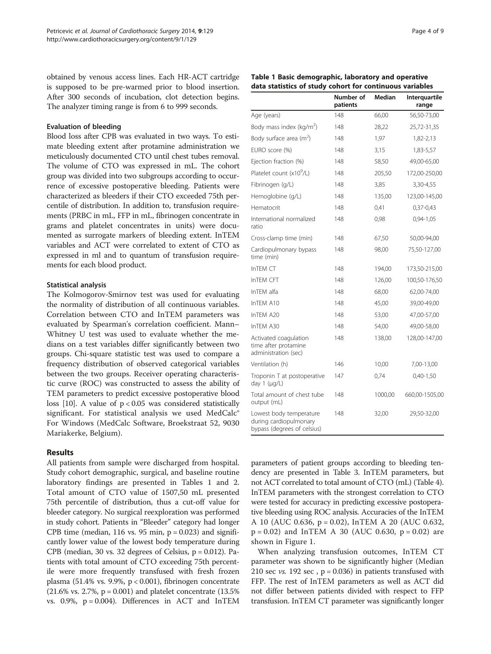obtained by venous access lines. Each HR-ACT cartridge is supposed to be pre-warmed prior to blood insertion. After 300 seconds of incubation, clot detection begins. The analyzer timing range is from 6 to 999 seconds.

# Evaluation of bleeding

Blood loss after CPB was evaluated in two ways. To estimate bleeding extent after protamine administration we meticulously documented CTO until chest tubes removal. The volume of CTO was expressed in mL. The cohort group was divided into two subgroups according to occurrence of excessive postoperative bleeding. Patients were characterized as bleeders if their CTO exceeded 75th percentile of distribution. In addition to, transfusion requirements (PRBC in mL, FFP in mL, fibrinogen concentrate in grams and platelet concentrates in units) were documented as surrogate markers of bleeding extent. InTEM variables and ACT were correlated to extent of CTO as expressed in ml and to quantum of transfusion requirements for each blood product.

# Statistical analysis

The Kolmogorov-Smirnov test was used for evaluating the normality of distribution of all continuous variables. Correlation between CTO and InTEM parameters was evaluated by Spearman's correlation coefficient. Mann– Whitney U test was used to evaluate whether the medians on a test variables differ significantly between two groups. Chi-square statistic test was used to compare a frequency distribution of observed categorical variables between the two groups. Receiver operating characteristic curve (ROC) was constructed to assess the ability of TEM parameters to predict excessive postoperative blood loss [[10](#page-7-0)]. A value of p < 0.05 was considered statistically significant. For statistical analysis we used MedCalc® For Windows (MedCalc Software, Broekstraat 52, 9030 Mariakerke, Belgium).

# Results

All patients from sample were discharged from hospital. Study cohort demographic, surgical, and baseline routine laboratory findings are presented in Tables 1 and [2](#page-4-0). Total amount of CTO value of 1507,50 mL presented 75th percentile of distribution, thus a cut-off value for bleeder category. No surgical reexploration was performed in study cohort. Patients in "Bleeder" category had longer CPB time (median,  $116$  vs. 95 min,  $p = 0.023$ ) and significantly lower value of the lowest body temperature during CPB (median, 30 vs. 32 degrees of Celsius, p = 0.012). Patients with total amount of CTO exceeding 75th percentile were more frequently transfused with fresh frozen plasma (51.4% vs. 9.9%, p < 0.001), fibrinogen concentrate  $(21.6\% \text{ vs. } 2.7\%, \text{ p} = 0.001)$  and platelet concentrate  $(13.5\%$ vs.  $0.9\%$ ,  $p = 0.004$ ). Differences in ACT and InTEM

|  | Page 4 of 9 |  |  |  |
|--|-------------|--|--|--|
|--|-------------|--|--|--|

|  | Table 1 Basic demographic, laboratory and operative      |  |  |
|--|----------------------------------------------------------|--|--|
|  | data statistics of study cohort for continuous variables |  |  |

|                                                                                  | Number of<br>patients | Median  | Interquartile<br>range |
|----------------------------------------------------------------------------------|-----------------------|---------|------------------------|
| Age (years)                                                                      | 148                   | 66,00   | 56,50-73,00            |
| Body mass index (kg/m <sup>2</sup> )                                             | 148                   | 28,22   | 25,72-31,35            |
| Body surface area $(m^2)$                                                        | 148                   | 1,97    | 1,82-2,13              |
| EURO score (%)                                                                   | 148                   | 3,15    | 1,83-5,57              |
| Ejection fraction (%)                                                            | 148                   | 58,50   | 49,00-65,00            |
| Platelet count (x10 <sup>9</sup> /L)                                             | 148                   | 205,50  | 172,00-250,00          |
| Fibrinogen (g/L)                                                                 | 148                   | 3,85    | 3,30-4,55              |
| Hemoglobine (g/L)                                                                | 148                   | 135,00  | 123,00-145,00          |
| Hematocrit                                                                       | 148                   | 0,41    | $0,37-0,43$            |
| International normalized<br>ratio                                                | 148                   | 0,98    | $0,94 - 1,05$          |
| Cross-clamp time (min)                                                           | 148                   | 67,50   | 50,00-94,00            |
| Cardiopulmonary bypass<br>time (min)                                             | 148                   | 98,00   | 75,50-127,00           |
| InTEM CT                                                                         | 148                   | 194,00  | 173,50-215,00          |
| <b>InTEM CFT</b>                                                                 | 148                   | 126,00  | 100,50-176,50          |
| InTEM alfa                                                                       | 148                   | 68,00   | 62,00-74,00            |
| InTEM A10                                                                        | 148                   | 45,00   | 39,00-49,00            |
| InTEM A20                                                                        | 148                   | 53,00   | 47,00-57,00            |
| InTEM A30                                                                        | 148                   | 54,00   | 49,00-58,00            |
| Activated coagulation<br>time after protamine<br>administration (sec)            | 148                   | 138,00  | 128,00-147,00          |
| Ventilation (h)                                                                  | 146                   | 10,00   | 7,00-13,00             |
| Troponin T at postoperative<br>day 1 (µg/L)                                      | 147                   | 0,74    | $0,40-1,50$            |
| Total amount of chest tube<br>output (mL)                                        | 148                   | 1000,00 | 660,00-1505,00         |
| Lowest body temperature<br>during cardiopulmonary<br>bypass (degrees of celsius) | 148                   | 32,00   | 29,50-32,00            |

parameters of patient groups according to bleeding tendency are presented in Table [3](#page-4-0). InTEM parameters, but not ACT correlated to total amount of CTO (mL) (Table [4](#page-5-0)). InTEM parameters with the strongest correlation to CTO were tested for accuracy in predicting excessive postoperative bleeding using ROC analysis. Accuracies of the InTEM A 10 (AUC 0.636, p = 0.02), InTEM A 20 (AUC 0.632,  $p = 0.02$ ) and InTEM A 30 (AUC 0.630,  $p = 0.02$ ) are shown in Figure [1](#page-5-0).

When analyzing transfusion outcomes, InTEM CT parameter was shown to be significantly higher (Median 210 sec *vs.* 192 sec,  $p = 0.036$ ) in patients transfused with FFP. The rest of InTEM parameters as well as ACT did not differ between patients divided with respect to FFP transfusion. InTEM CT parameter was significantly longer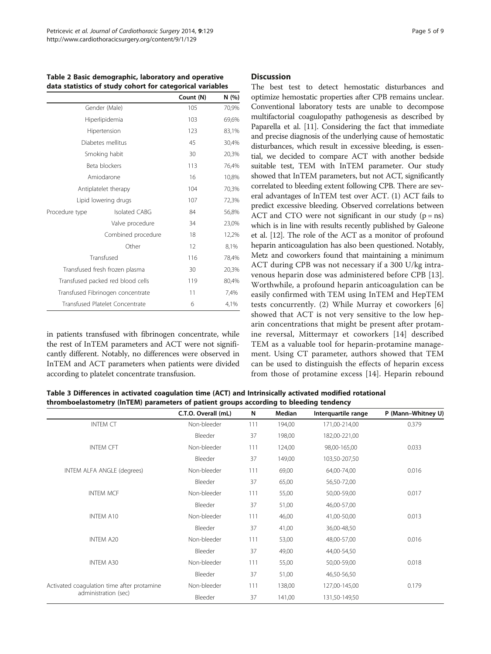<span id="page-4-0"></span>Table 2 Basic demographic, laboratory and operative data statistics of study cohort for categorical variables

|                |                                   | Count (N) | N (%) |
|----------------|-----------------------------------|-----------|-------|
|                | Gender (Male)                     | 105       | 70,9% |
|                | Hiperlipidemia                    | 103       | 69,6% |
|                | Hipertension                      | 123       | 83,1% |
|                | Diabetes mellitus                 | 45        | 30,4% |
|                | Smoking habit                     | 30        | 20,3% |
|                | Beta blockers                     | 113       | 76,4% |
|                | Amiodarone                        | 16        | 10,8% |
|                | Antiplatelet therapy              | 104       | 70,3% |
|                | Lipid lowering drugs              | 107       | 72,3% |
| Procedure type | <b>Isolated CABG</b>              | 84        | 56,8% |
|                | Valve procedure                   | 34        | 23,0% |
|                | Combined procedure                | 18        | 12,2% |
|                | Other                             | 12        | 8,1%  |
|                | Transfused                        | 116       | 78,4% |
|                | Transfused fresh frozen plasma    | 30        | 20,3% |
|                | Transfused packed red blood cells | 119       | 80,4% |
|                | Transfused Fibrinogen concentrate | 11        | 7,4%  |
|                | Transfused Platelet Concentrate   | 6         | 4,1%  |

in patients transfused with fibrinogen concentrate, while the rest of InTEM parameters and ACT were not significantly different. Notably, no differences were observed in InTEM and ACT parameters when patients were divided according to platelet concentrate transfusion.

# **Discussion**

The best test to detect hemostatic disturbances and optimize hemostatic properties after CPB remains unclear. Conventional laboratory tests are unable to decompose multifactorial coagulopathy pathogenesis as described by Paparella et al. [[11](#page-7-0)]. Considering the fact that immediate and precise diagnosis of the underlying cause of hemostatic disturbances, which result in excessive bleeding, is essential, we decided to compare ACT with another bedside suitable test, TEM with InTEM parameter. Our study showed that InTEM parameters, but not ACT, significantly correlated to bleeding extent following CPB. There are several advantages of InTEM test over ACT. (1) ACT fails to predict excessive bleeding. Observed correlations between ACT and CTO were not significant in our study  $(p = ns)$ which is in line with results recently published by Galeone et al. [[12](#page-7-0)]. The role of the ACT as a monitor of profound heparin anticoagulation has also been questioned. Notably, Metz and coworkers found that maintaining a minimum ACT during CPB was not necessary if a 300 U/kg intravenous heparin dose was administered before CPB [\[13](#page-7-0)]. Worthwhile, a profound heparin anticoagulation can be easily confirmed with TEM using InTEM and HepTEM tests concurrently. (2) While Murray et coworkers [\[6](#page-7-0)] showed that ACT is not very sensitive to the low heparin concentrations that might be present after protamine reversal, Mittermayr et coworkers [\[14](#page-7-0)] described TEM as a valuable tool for heparin-protamine management. Using CT parameter, authors showed that TEM can be used to distinguish the effects of heparin excess from those of protamine excess [[14\]](#page-7-0). Heparin rebound

Table 3 Differences in activated coagulation time (ACT) and Intrinsically activated modified rotational thromboelastometry (InTEM) parameters of patient groups according to bleeding tendency

|                                            | C.T.O. Overall (mL) | N   | <b>Median</b> | Interquartile range | P (Mann-Whitney U) |
|--------------------------------------------|---------------------|-----|---------------|---------------------|--------------------|
| <b>INTEM CT</b>                            | Non-bleeder         | 111 | 194,00        | 171,00-214,00       | 0.379              |
|                                            | Bleeder             | 37  | 198,00        | 182,00-221,00       |                    |
| <b>INTEM CFT</b>                           | Non-bleeder         | 111 | 124,00        | 98,00-165,00        | 0.033              |
|                                            | Bleeder             | 37  | 149,00        | 103,50-207,50       |                    |
| INTEM ALFA ANGLE (degrees)                 | Non-bleeder         | 111 | 69,00         | 64,00-74,00         | 0.016              |
|                                            | Bleeder             | 37  | 65,00         | 56,50-72,00         |                    |
| <b>INTEM MCF</b>                           | Non-bleeder         | 111 | 55,00         | 50,00-59,00         | 0.017              |
|                                            | Bleeder             | 37  | 51,00         | 46,00-57,00         |                    |
| INTEM A10                                  | Non-bleeder         | 111 | 46,00         | 41,00-50,00         | 0.013              |
|                                            | Bleeder             | 37  | 41,00         | 36,00-48,50         |                    |
| <b>INTEM A20</b>                           | Non-bleeder         | 111 | 53,00         | 48,00-57,00         | 0.016              |
|                                            | Bleeder             | 37  | 49,00         | 44,00-54,50         |                    |
| INTEM A30                                  | Non-bleeder         | 111 | 55,00         | 50,00-59,00         | 0.018              |
|                                            | Bleeder             | 37  | 51,00         | 46,50-56,50         |                    |
| Activated coagulation time after protamine | Non-bleeder         | 111 | 138,00        | 127,00-145,00       | 0.179              |
| administration (sec)                       | Bleeder             | 37  | 141,00        | 131,50-149,50       |                    |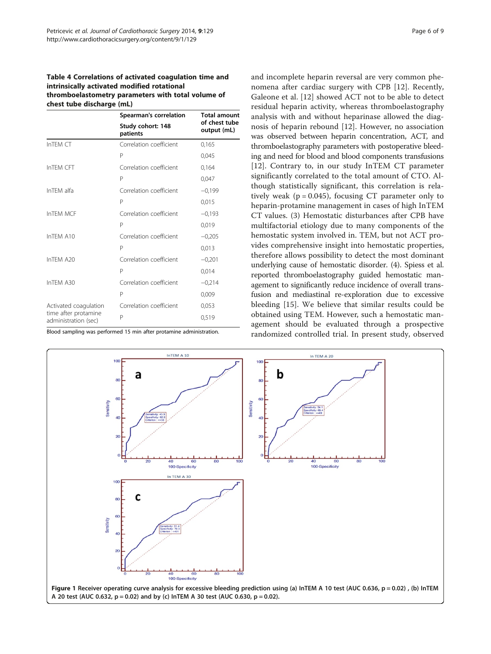# <span id="page-5-0"></span>Table 4 Correlations of activated coagulation time and intrinsically activated modified rotational thromboelastometry parameters with total volume of chest tube discharge (mL)

|                                              | Spearman's correlation        | <b>Total amount</b><br>of chest tube<br>output (mL) |  |
|----------------------------------------------|-------------------------------|-----------------------------------------------------|--|
|                                              | Study cohort: 148<br>patients |                                                     |  |
| <b>InTEM CT</b>                              | Correlation coefficient       | 0,165                                               |  |
|                                              | P                             | 0,045                                               |  |
| <b>InTFM CFT</b>                             | Correlation coefficient       | 0,164                                               |  |
|                                              | Ρ                             | 0,047                                               |  |
| InTFM alfa                                   | Correlation coefficient       | $-0,199$                                            |  |
|                                              | P                             | 0,015                                               |  |
| <b>InTFM MCF</b>                             | Correlation coefficient       | $-0,193$                                            |  |
|                                              | Ρ                             | 0.019                                               |  |
| InTFM A10                                    | Correlation coefficient       | $-0,205$                                            |  |
|                                              | P                             | 0,013                                               |  |
| InTFM A20                                    | Correlation coefficient       | $-0,201$                                            |  |
|                                              | P                             | 0,014                                               |  |
| InTFM A30                                    | Correlation coefficient       | $-0,214$                                            |  |
|                                              | P                             | 0,009                                               |  |
| Activated coagulation                        | Correlation coefficient       | 0,053                                               |  |
| time after protamine<br>administration (sec) | P                             | 0,519                                               |  |

Blood sampling was performed 15 min after protamine administration.

and incomplete heparin reversal are very common phenomena after cardiac surgery with CPB [\[12](#page-7-0)]. Recently, Galeone et al. [[12\]](#page-7-0) showed ACT not to be able to detect residual heparin activity, whereas thromboelastography analysis with and without heparinase allowed the diagnosis of heparin rebound [[12\]](#page-7-0). However, no association was observed between heparin concentration, ACT, and thromboelastography parameters with postoperative bleeding and need for blood and blood components transfusions [[12\]](#page-7-0). Contrary to, in our study InTEM CT parameter significantly correlated to the total amount of CTO. Although statistically significant, this correlation is relatively weak ( $p = 0.045$ ), focusing CT parameter only to heparin-protamine management in cases of high InTEM CT values. (3) Hemostatic disturbances after CPB have multifactorial etiology due to many components of the hemostatic system involved in. TEM, but not ACT provides comprehensive insight into hemostatic properties, therefore allows possibility to detect the most dominant underlying cause of hemostatic disorder. (4). Spiess et al. reported thromboelastography guided hemostatic management to significantly reduce incidence of overall transfusion and mediastinal re-exploration due to excessive bleeding [[15](#page-8-0)]. We believe that similar results could be obtained using TEM. However, such a hemostatic management should be evaluated through a prospective randomized controlled trial. In present study, observed

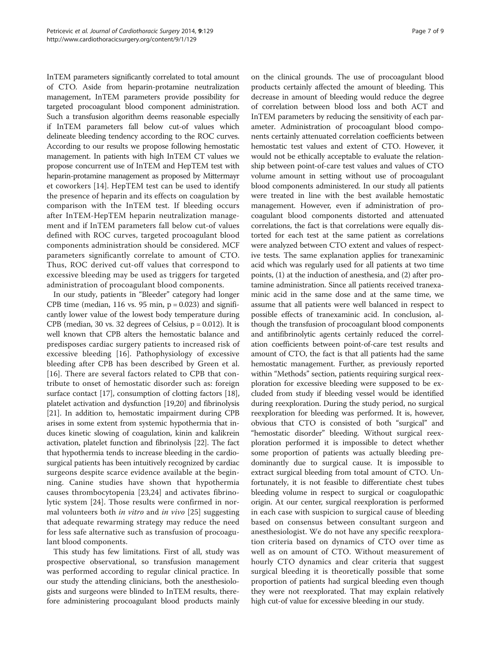InTEM parameters significantly correlated to total amount of CTO. Aside from heparin-protamine neutralization management, InTEM parameters provide possibility for targeted procoagulant blood component administration. Such a transfusion algorithm deems reasonable especially if InTEM parameters fall below cut-of values which delineate bleeding tendency according to the ROC curves. According to our results we propose following hemostatic management. In patients with high InTEM CT values we propose concurrent use of InTEM and HepTEM test with heparin-protamine management as proposed by Mittermayr et coworkers [[14\]](#page-7-0). HepTEM test can be used to identify the presence of heparin and its effects on coagulation by comparison with the InTEM test. If bleeding occurs after InTEM-HepTEM heparin neutralization management and if InTEM parameters fall below cut-of values defined with ROC curves, targeted procoagulant blood components administration should be considered. MCF parameters significantly correlate to amount of CTO. Thus, ROC derived cut-off values that correspond to excessive bleeding may be used as triggers for targeted administration of procoagulant blood components.

In our study, patients in "Bleeder" category had longer CPB time (median,  $116$  vs. 95 min,  $p = 0.023$ ) and significantly lower value of the lowest body temperature during CPB (median, 30 vs. 32 degrees of Celsius,  $p = 0.012$ ). It is well known that CPB alters the hemostatic balance and predisposes cardiac surgery patients to increased risk of excessive bleeding [\[16](#page-8-0)]. Pathophysiology of excessive bleeding after CPB has been described by Green et al. [[16\]](#page-8-0). There are several factors related to CPB that contribute to onset of hemostatic disorder such as: foreign surface contact [\[17\]](#page-8-0), consumption of clotting factors [[18](#page-8-0)], platelet activation and dysfunction [[19,20](#page-8-0)] and fibrinolysis [[21](#page-8-0)]. In addition to, hemostatic impairment during CPB arises in some extent from systemic hypothermia that induces kinetic slowing of coagulation, kinin and kalikrein activation, platelet function and fibrinolysis [\[22](#page-8-0)]. The fact that hypothermia tends to increase bleeding in the cardiosurgical patients has been intuitively recognized by cardiac surgeons despite scarce evidence available at the beginning. Canine studies have shown that hypothermia causes thrombocytopenia [[23,24\]](#page-8-0) and activates fibrinolytic system [[24\]](#page-8-0). Those results were confirmed in normal volunteers both *in vitro* and *in vivo* [[25\]](#page-8-0) suggesting that adequate rewarming strategy may reduce the need for less safe alternative such as transfusion of procoagulant blood components.

This study has few limitations. First of all, study was prospective observational, so transfusion management was performed according to regular clinical practice. In our study the attending clinicians, both the anesthesiologists and surgeons were blinded to InTEM results, therefore administering procoagulant blood products mainly

on the clinical grounds. The use of procoagulant blood products certainly affected the amount of bleeding. This decrease in amount of bleeding would reduce the degree of correlation between blood loss and both ACT and InTEM parameters by reducing the sensitivity of each parameter. Administration of procoagulant blood components certainly attenuated correlation coefficients between hemostatic test values and extent of CTO. However, it would not be ethically acceptable to evaluate the relationship between point-of-care test values and values of CTO volume amount in setting without use of procoagulant blood components administered. In our study all patients were treated in line with the best available hemostatic management. However, even if administration of procoagulant blood components distorted and attenuated correlations, the fact is that correlations were equally distorted for each test at the same patient as correlations were analyzed between CTO extent and values of respective tests. The same explanation applies for tranexaminic acid which was regularly used for all patients at two time points, (1) at the induction of anesthesia, and (2) after protamine administration. Since all patients received tranexaminic acid in the same dose and at the same time, we assume that all patients were well balanced in respect to possible effects of tranexaminic acid. In conclusion, although the transfusion of procoagulant blood components and antifibrinolytic agents certainly reduced the correlation coefficients between point-of-care test results and amount of CTO, the fact is that all patients had the same hemostatic management. Further, as previously reported within "[Methods](#page-1-0)" section, patients requiring surgical reexploration for excessive bleeding were supposed to be excluded from study if bleeding vessel would be identified during reexploration. During the study period, no surgical reexploration for bleeding was performed. It is, however, obvious that CTO is consisted of both "surgical" and "hemostatic disorder" bleeding. Without surgical reexploration performed it is impossible to detect whether some proportion of patients was actually bleeding predominantly due to surgical cause. It is impossible to extract surgical bleeding from total amount of CTO. Unfortunately, it is not feasible to differentiate chest tubes bleeding volume in respect to surgical or coagulopathic origin. At our center, surgical reexploration is performed in each case with suspicion to surgical cause of bleeding based on consensus between consultant surgeon and anesthesiologist. We do not have any specific reexploration criteria based on dynamics of CTO over time as well as on amount of CTO. Without measurement of hourly CTO dynamics and clear criteria that suggest surgical bleeding it is theoretically possible that some proportion of patients had surgical bleeding even though they were not reexplorated. That may explain relatively high cut-of value for excessive bleeding in our study.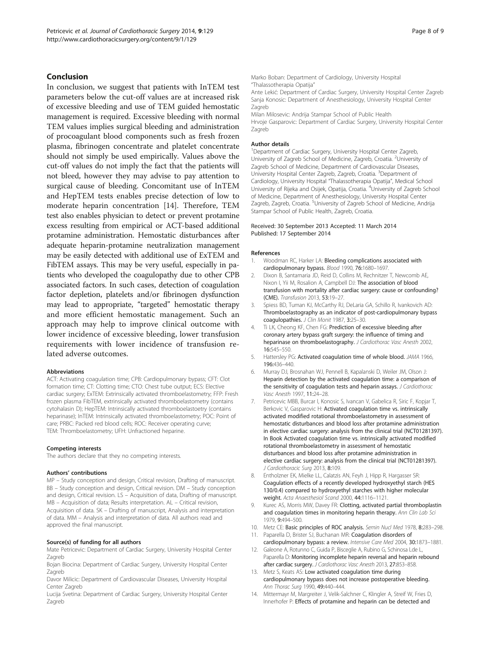# <span id="page-7-0"></span>Conclusion

In conclusion, we suggest that patients with InTEM test parameters below the cut-off values are at increased risk of excessive bleeding and use of TEM guided hemostatic management is required. Excessive bleeding with normal TEM values implies surgical bleeding and administration of procoagulant blood components such as fresh frozen plasma, fibrinogen concentrate and platelet concentrate should not simply be used empirically. Values above the cut-off values do not imply the fact that the patients will not bleed, however they may advise to pay attention to surgical cause of bleeding. Concomitant use of InTEM and HepTEM tests enables precise detection of low to moderate heparin concentration [14]. Therefore, TEM test also enables physician to detect or prevent protamine excess resulting from empirical or ACT-based additional protamine administration. Hemostatic disturbances after adequate heparin-protamine neutralization management may be easily detected with additional use of ExTEM and FibTEM assays. This may be very useful, especially in patients who developed the coagulopathy due to other CPB associated factors. In such cases, detection of coagulation factor depletion, platelets and/or fibrinogen dysfunction may lead to appropriate, "targeted" hemostatic therapy and more efficient hemostatic management. Such an approach may help to improve clinical outcome with lower incidence of excessive bleeding, lower transfusion requirements with lower incidence of transfusion related adverse outcomes.

### Abbreviations

ACT: Activating coagulation time; CPB: Cardiopulmonary bypass; CFT: Clot formation time; CT: Clotting time; CTO: Chest tube output; ECS: Elective cardiac surgery; ExTEM: Extrinsically activated thromboelastometry; FFP: Fresh frozen plasma FibTEM, extrinsically activated thromboelastometry (contains cytohalasin D); HepTEM: Intrinsically activated thromboelastoetry (contains heparinase); InTEM: Intrinsically activated thromboelastometry; POC: Point of care; PRBC: Packed red blood cells; ROC: Receiver operating curve; TEM: Thromboelastometry; UFH: Unfractioned heparine.

### Competing interests

The authors declare that they no competing interests.

### Authors' contributions

MP – Study conception and design, Critical revision, Drafting of manuscript. BB – Study conception and design, Critical revision. DM – Study conception and design, Critical revision. LS – Acquisition of data, Drafting of manuscript. MB – Acquisition of data; Results interpretation. AL – Critical revision, Acquisition of data. SK – Drafting of manuscript, Analysis and interpretation of data. MM – Analysis and interpretation of data. All authors read and approved the final manuscript.

# Source(s) of funding for all authors

Mate Petricevic: Department of Cardiac Surgery, University Hospital Center Zagreb

Bojan Biocina: Department of Cardiac Surgery, University Hospital Center Zagreb

Davor Milicic: Department of Cardiovascular Diseases, University Hospital Center Zagreb

Lucija Svetina: Department of Cardiac Surgery, University Hospital Center Zagreb

Marko Boban: Department of Cardiology, University Hospital "Thalassotherapia Opatija"

Ante Lekić: Department of Cardiac Surgery, University Hospital Center Zagreb Sanja Konosic: Department of Anesthesiology, University Hospital Center Zagreb

Milan Milosevic: Andrija Stampar School of Public Health

Hrvoje Gasparovic: Department of Cardiac Surgery, University Hospital Center Zagreb

### Author details

<sup>1</sup>Department of Cardiac Surgery, University Hospital Center Zagreb, University of Zagreb School of Medicine, Zagreb, Croatia. <sup>2</sup>University of Zagreb School of Medicine, Department of Cardiovascular Diseases, University Hospital Center Zagreb, Zagreb, Croatia. <sup>3</sup>Department of Cardiology, University Hospital "Thalassotherapia Opatija", Medical School University of Rijeka and Osijek, Opatija, Croatia. <sup>4</sup>University of Zagreb School of Medicine, Department of Anesthesiology, University Hospital Center Zagreb, Zagreb, Croatia. <sup>5</sup>University of Zagreb School of Medicine, Andrija Stampar School of Public Health, Zagreb, Croatia.

### Received: 30 September 2013 Accepted: 11 March 2014 Published: 17 September 2014

### References

- Woodman RC, Harker LA: Bleeding complications associated with cardiopulmonary bypass. Blood 1990, 76:1680–1697.
- 2. Dixon B, Santamaria JD, Reid D, Collins M, Rechnitzer T, Newcomb AE, Nixon I, Yii M, Rosalion A, Campbell DJ: The association of blood transfusion with mortality after cardiac surgery: cause or confounding? (CME). Transfusion 2013, 53:19–27.
- 3. Spiess BD, Tuman KJ, McCarthy RJ, DeLaria GA, Schillo R, Ivankovich AD: Thromboelastography as an indicator of post-cardiopulmonary bypass coagulopathies. J Clin Monit 1987, 3:25-30.
- Ti LK, Cheong KF, Chen FG: Prediction of excessive bleeding after coronary artery bypass graft surgery: the influence of timing and heparinase on thromboelastography. J Cardiothorac Vasc Anesth 2002, 16:545–550.
- 5. Hattersley PG: Activated coagulation time of whole blood. JAMA 1966, 196:436–440.
- 6. Murray DJ, Brosnahan WJ, Pennell B, Kapalanski D, Weiler JM, Olson J: Heparin detection by the activated coagulation time: a comparison of the sensitivity of coagulation tests and heparin assays. J Cardiothorac Vasc Anesth 1997, 11:24–28.
- 7. Petricevic MBB, Burcar I, Konosic S, Ivancan V, Gabelica R, Siric F, Kopjar T, Berkovic V, Gasparovic H: Activated coagulation time vs. intrinsically activated modified rotational thromboelastometry in assessment of hemostatic disturbances and blood loss after protamine administration in elective cardiac surgery: analysis from the clinical trial (NCT01281397). In Book Activated coagulation time vs. intrinsically activated modified rotational thromboelastometry in assessment of hemostatic disturbances and blood loss after protamine administration in elective cardiac surgery: analysis from the clinical trial (NCT01281397). J Cardiothoracic Surg 2013, 8:109.
- 8. Entholzner EK, Mielke LL, Calatzis AN, Feyh J, Hipp R, Hargasser SR: Coagulation effects of a recently developed hydroxyethyl starch (HES 130/0.4) compared to hydroxyethyl starches with higher molecular weight. Acta Anaesthesiol Scand 2000, 44:1116–1121.
- Kurec AS, Morris MW, Davey FR: Clotting, activated partial thromboplastin and coagulation times in monitoring heparin therapy. Ann Clin Lab Sci 1979, 9:494–500.
- 10. Metz CE: Basic principles of ROC analysis. Semin Nucl Med 1978, 8:283-298.
- 11. Paparella D, Brister SJ, Buchanan MR: Coagulation disorders of cardiopulmonary bypass: a review. Intensive Care Med 2004, 30:1873–1881.
- 12. Galeone A, Rotunno C, Guida P, Bisceglie A, Rubino G, Schinosa Lde L, Paparella D: Monitoring incomplete heparin reversal and heparin rebound after cardiac surgery. J Cardiothorac Vasc Anesth 2013, 27:853-858.
- 13. Metz S, Keats AS: Low activated coagulation time during cardiopulmonary bypass does not increase postoperative bleeding. Ann Thorac Surg 1990, 49:440–444.
- 14. Mittermayr M, Margreiter J, Velik-Salchner C, Klingler A, Streif W, Fries D, Innerhofer P: Effects of protamine and heparin can be detected and